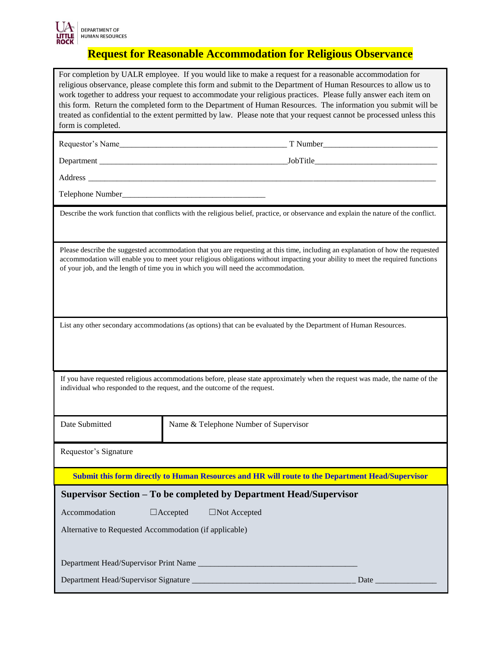

## **Request for Reasonable Accommodation for Religious Observance**

| For completion by UALR employee. If you would like to make a request for a reasonable accommodation for<br>religious observance, please complete this form and submit to the Department of Human Resources to allow us to<br>work together to address your request to accommodate your religious practices. Please fully answer each item on<br>this form. Return the completed form to the Department of Human Resources. The information you submit will be<br>treated as confidential to the extent permitted by law. Please note that your request cannot be processed unless this<br>form is completed. |                                        |
|--------------------------------------------------------------------------------------------------------------------------------------------------------------------------------------------------------------------------------------------------------------------------------------------------------------------------------------------------------------------------------------------------------------------------------------------------------------------------------------------------------------------------------------------------------------------------------------------------------------|----------------------------------------|
|                                                                                                                                                                                                                                                                                                                                                                                                                                                                                                                                                                                                              |                                        |
|                                                                                                                                                                                                                                                                                                                                                                                                                                                                                                                                                                                                              |                                        |
|                                                                                                                                                                                                                                                                                                                                                                                                                                                                                                                                                                                                              |                                        |
|                                                                                                                                                                                                                                                                                                                                                                                                                                                                                                                                                                                                              |                                        |
| Describe the work function that conflicts with the religious belief, practice, or observance and explain the nature of the conflict.                                                                                                                                                                                                                                                                                                                                                                                                                                                                         |                                        |
| Please describe the suggested accommodation that you are requesting at this time, including an explanation of how the requested<br>accommodation will enable you to meet your religious obligations without impacting your ability to meet the required functions<br>of your job, and the length of time you in which you will need the accommodation.                                                                                                                                                                                                                                                       |                                        |
| List any other secondary accommodations (as options) that can be evaluated by the Department of Human Resources.                                                                                                                                                                                                                                                                                                                                                                                                                                                                                             |                                        |
| If you have requested religious accommodations before, please state approximately when the request was made, the name of the<br>individual who responded to the request, and the outcome of the request.                                                                                                                                                                                                                                                                                                                                                                                                     |                                        |
| Date Submitted                                                                                                                                                                                                                                                                                                                                                                                                                                                                                                                                                                                               | Name & Telephone Number of Supervisor  |
| Requestor's Signature                                                                                                                                                                                                                                                                                                                                                                                                                                                                                                                                                                                        |                                        |
| Submit this form directly to Human Resources and HR will route to the Department Head/Supervisor                                                                                                                                                                                                                                                                                                                                                                                                                                                                                                             |                                        |
| Supervisor Section - To be completed by Department Head/Supervisor                                                                                                                                                                                                                                                                                                                                                                                                                                                                                                                                           |                                        |
| Accommodation                                                                                                                                                                                                                                                                                                                                                                                                                                                                                                                                                                                                | $\Box$ Accepted<br>$\Box$ Not Accepted |
| Alternative to Requested Accommodation (if applicable)                                                                                                                                                                                                                                                                                                                                                                                                                                                                                                                                                       |                                        |
|                                                                                                                                                                                                                                                                                                                                                                                                                                                                                                                                                                                                              |                                        |
|                                                                                                                                                                                                                                                                                                                                                                                                                                                                                                                                                                                                              |                                        |